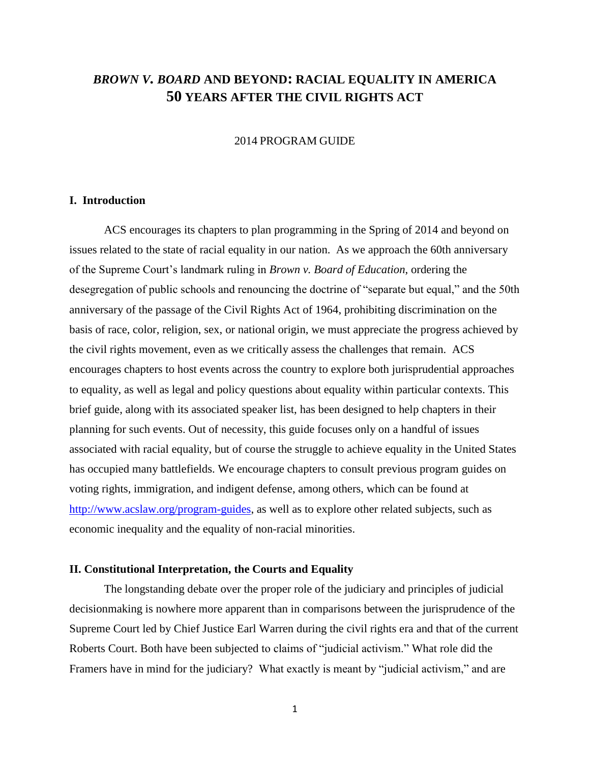# *BROWN V. BOARD* **AND BEYOND: RACIAL EQUALITY IN AMERICA 50 YEARS AFTER THE CIVIL RIGHTS ACT**

#### 2014 PROGRAM GUIDE

# **I. Introduction**

ACS encourages its chapters to plan programming in the Spring of 2014 and beyond on issues related to the state of racial equality in our nation. As we approach the 60th anniversary of the Supreme Court's landmark ruling in *Brown v. Board of Education*, ordering the desegregation of public schools and renouncing the doctrine of "separate but equal," and the 50th anniversary of the passage of the Civil Rights Act of 1964, prohibiting discrimination on the basis of race, color, religion, sex, or national origin, we must appreciate the progress achieved by the civil rights movement, even as we critically assess the challenges that remain. ACS encourages chapters to host events across the country to explore both jurisprudential approaches to equality, as well as legal and policy questions about equality within particular contexts. This brief guide, along with its associated speaker list, has been designed to help chapters in their planning for such events. Out of necessity, this guide focuses only on a handful of issues associated with racial equality, but of course the struggle to achieve equality in the United States has occupied many battlefields. We encourage chapters to consult previous program guides on voting rights, immigration, and indigent defense, among others, which can be found at [http://www.acslaw.org/program-guides,](http://www.acslaw.org/program-guides) as well as to explore other related subjects, such as economic inequality and the equality of non-racial minorities.

# **II. Constitutional Interpretation, the Courts and Equality**

The longstanding debate over the proper role of the judiciary and principles of judicial decisionmaking is nowhere more apparent than in comparisons between the jurisprudence of the Supreme Court led by Chief Justice Earl Warren during the civil rights era and that of the current Roberts Court. Both have been subjected to claims of "judicial activism." What role did the Framers have in mind for the judiciary? What exactly is meant by "judicial activism," and are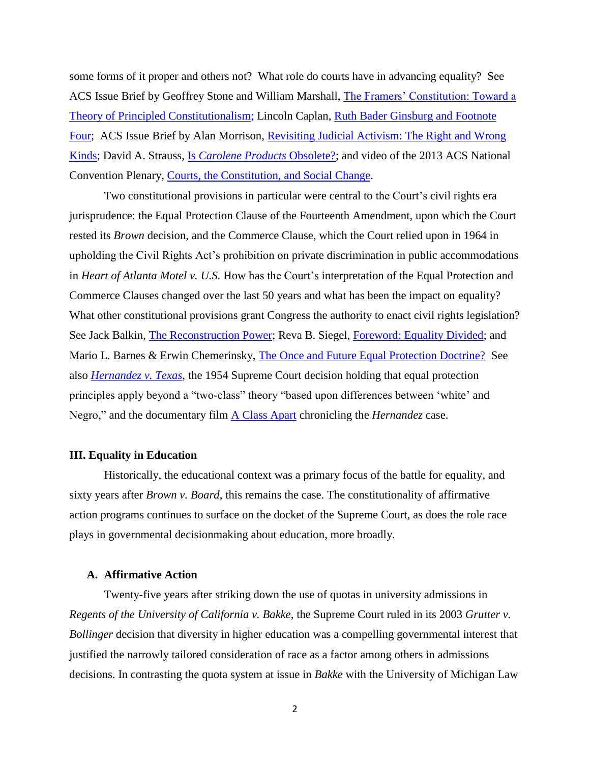some forms of it proper and others not? What role do courts have in advancing equality? See ACS Issue Brief by Geoffrey Stone and William Marshall, [The Framers' Constitution: Toward a](http://www.acslaw.org/publications/issue-briefs/the-framers%E2%80%99-constitution-toward-a-theory-of-principled-constitutionalism)  [Theory of Principled Constitutionalism;](http://www.acslaw.org/publications/issue-briefs/the-framers%E2%80%99-constitution-toward-a-theory-of-principled-constitutionalism) Lincoln Caplan, [Ruth Bader Ginsburg and Footnote](http://www.newyorker.com/online/blogs/newsdesk/2013/09/ruth-bader-ginsburg-and-footnote-four.html)  [Four;](http://www.newyorker.com/online/blogs/newsdesk/2013/09/ruth-bader-ginsburg-and-footnote-four.html) ACS Issue Brief by Alan Morrison, [Revisiting Judicial Activism: The Right and Wrong](http://www.acslaw.org/publications/issue-briefs/revisiting-judicial-activism-the-right-and-wrong-kinds)  [Kinds;](http://www.acslaw.org/publications/issue-briefs/revisiting-judicial-activism-the-right-and-wrong-kinds) David A. Strauss, Is *[Carolene Products](http://illinoislawreview.org/article/is-carolene-products-obsoleteij/)* Obsolete?; and video of the 2013 ACS National Convention Plenary, [Courts, the Constitution, and Social Change.](http://www.acslaw.org/news/video/courts-the-constitution-and-social-change-0)

Two constitutional provisions in particular were central to the Court's civil rights era jurisprudence: the Equal Protection Clause of the Fourteenth Amendment, upon which the Court rested its *Brown* decision, and the Commerce Clause, which the Court relied upon in 1964 in upholding the Civil Rights Act's prohibition on private discrimination in public accommodations in *Heart of Atlanta Motel v. U.S.* How has the Court's interpretation of the Equal Protection and Commerce Clauses changed over the last 50 years and what has been the impact on equality? What other constitutional provisions grant Congress the authority to enact civil rights legislation? See Jack Balkin, [The Reconstruction Power;](http://www.nyulawreview.org/sites/default/files/pdf/NYULawReview-85-6-Balkin.pdf) Reva B. Siegel, [Foreword: Equality Divided;](http://www.law.yale.edu/documents/pdf/Faculty/Siegel_TheSupremeCourt2012TermForwardEqualityDivided.pdf) and Mario L. Barnes & Erwin Chemerinsky, [The Once and Future Equal Protection Doctrine?](http://uconn.lawreviewnetwork.com/files/documents/BarnesandChemerinsky43Conn.L.Rev.1059.pdf) See also *[Hernandez v. Texas](http://www.law.cornell.edu/supremecourt/text/347/475)*, the 1954 Supreme Court decision holding that equal protection principles apply beyond a "two-class" theory "based upon differences between 'white' and Negro," and the documentary film [A Class Apart](http://www.pbs.org/wgbh/americanexperience/films/class/) chronicling the *Hernandez* case.

### **III. Equality in Education**

Historically, the educational context was a primary focus of the battle for equality, and sixty years after *Brown v. Board*, this remains the case. The constitutionality of affirmative action programs continues to surface on the docket of the Supreme Court, as does the role race plays in governmental decisionmaking about education, more broadly.

# **A. Affirmative Action**

Twenty-five years after striking down the use of quotas in university admissions in *Regents of the University of California v. Bakke*, the Supreme Court ruled in its 2003 *Grutter v. Bollinger* decision that diversity in higher education was a compelling governmental interest that justified the narrowly tailored consideration of race as a factor among others in admissions decisions. In contrasting the quota system at issue in *Bakke* with the University of Michigan Law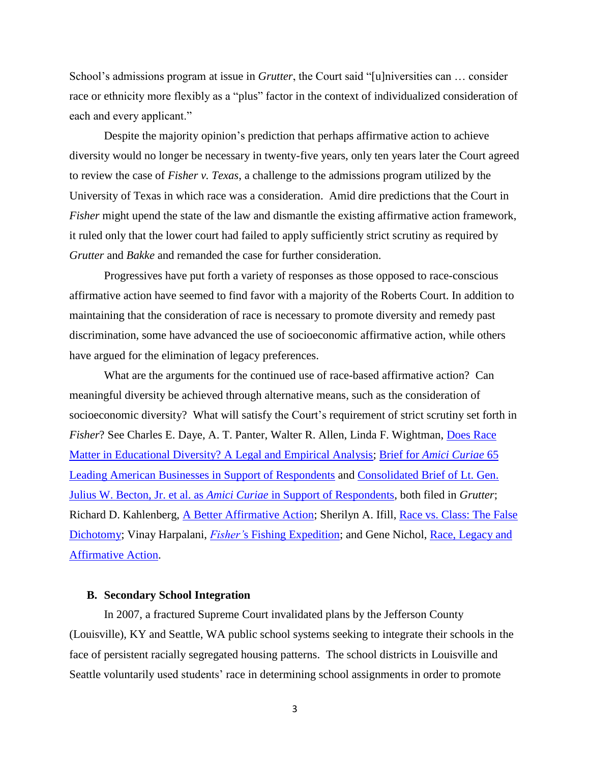School's admissions program at issue in *Grutter*, the Court said "[u]niversities can … consider race or ethnicity more flexibly as a "plus" factor in the context of individualized consideration of each and every applicant."

Despite the majority opinion's prediction that perhaps affirmative action to achieve diversity would no longer be necessary in twenty-five years, only ten years later the Court agreed to review the case of *Fisher v. Texas*, a challenge to the admissions program utilized by the University of Texas in which race was a consideration. Amid dire predictions that the Court in *Fisher* might upend the state of the law and dismantle the existing affirmative action framework, it ruled only that the lower court had failed to apply sufficiently strict scrutiny as required by *Grutter* and *Bakke* and remanded the case for further consideration.

Progressives have put forth a variety of responses as those opposed to race-conscious affirmative action have seemed to find favor with a majority of the Roberts Court. In addition to maintaining that the consideration of race is necessary to promote diversity and remedy past discrimination, some have advanced the use of socioeconomic affirmative action, while others have argued for the elimination of legacy preferences.

What are the arguments for the continued use of race-based affirmative action? Can meaningful diversity be achieved through alternative means, such as the consideration of socioeconomic diversity? What will satisfy the Court's requirement of strict scrutiny set forth in *Fisher*? See Charles E. Daye, A. T. Panter, Walter R. Allen, Linda F. Wightman, [Does Race](http://papers.ssrn.com/sol3/papers.cfm?abstract_id=2101253)  [Matter in Educational Diversity?](http://papers.ssrn.com/sol3/papers.cfm?abstract_id=2101253) A Legal and Empirical Analysis; Brief for *[Amici Curiae](http://www.vpcomm.umich.edu/admissions/legal/gru_amicus-ussc/um/Fortune500-both.pdf)* 65 [Leading American Businesses in Support of Respondents](http://www.vpcomm.umich.edu/admissions/legal/gru_amicus-ussc/um/Fortune500-both.pdf) and [Consolidated Brief of Lt. Gen.](http://www.vpcomm.umich.edu/admissions/legal/gru_amicus-ussc/um/MilitaryL-both.pdf)  [Julius W. Becton, Jr. et al. as](http://www.vpcomm.umich.edu/admissions/legal/gru_amicus-ussc/um/MilitaryL-both.pdf) *Amici Curiae* in Support of Respondents, both filed in *Grutter*; Richard D. Kahlenberg, [A Better Affirmative Action;](http://tcf.org/assets/downloads/tcf-abaa.pdf) Sherilyn A. Ifill, [Race vs. Class: The False](http://www.nytimes.com/2013/06/14/opinion/race-vs-class-the-false-dichotomy.html?_r=0)  [Dichotomy;](http://www.nytimes.com/2013/06/14/opinion/race-vs-class-the-false-dichotomy.html?_r=0) Vinay Harpalani, *Fisher'*[s Fishing Expedition;](https://www.law.upenn.edu/live/files/1687-harpalani15upajconstlheightscrutiny572013pdf) and Gene Nichol, [Race, Legacy and](http://www.populist.com/15.18.nichol.html)  [Affirmative Action.](http://www.populist.com/15.18.nichol.html)

# **B. Secondary School Integration**

In 2007, a fractured Supreme Court invalidated plans by the Jefferson County (Louisville), KY and Seattle, WA public school systems seeking to integrate their schools in the face of persistent racially segregated housing patterns. The school districts in Louisville and Seattle voluntarily used students' race in determining school assignments in order to promote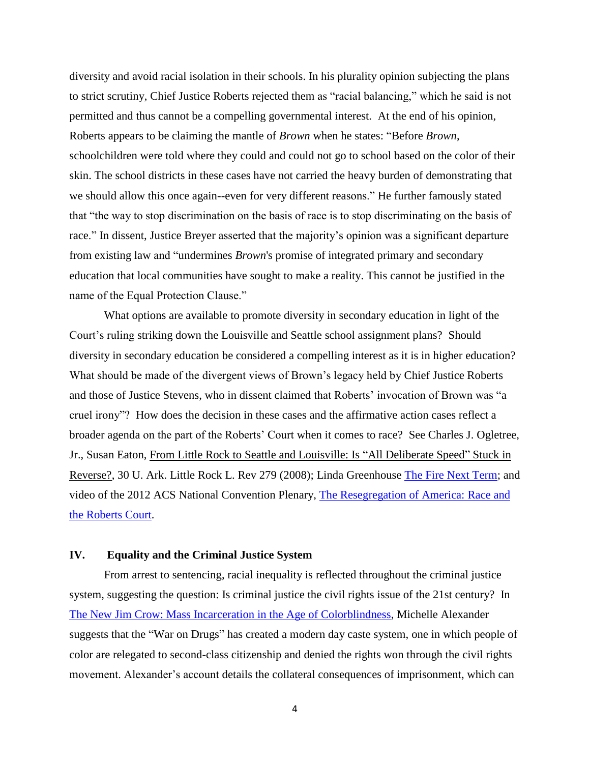diversity and avoid racial isolation in their schools. In his plurality opinion subjecting the plans to strict scrutiny, Chief Justice Roberts rejected them as "racial balancing," which he said is not permitted and thus cannot be a compelling governmental interest. At the end of his opinion, Roberts appears to be claiming the mantle of *Brown* when he states: "Before *Brown*, schoolchildren were told where they could and could not go to school based on the color of their skin. The school districts in these cases have not carried the heavy burden of demonstrating that we should allow this once again--even for very different reasons." He further famously stated that "the way to stop discrimination on the basis of race is to stop discriminating on the basis of race." In dissent, Justice Breyer asserted that the majority's opinion was a significant departure from existing law and "undermines *Brown*'s promise of integrated primary and secondary education that local communities have sought to make a reality. This cannot be justified in the name of the Equal Protection Clause."

What options are available to promote diversity in secondary education in light of the Court's ruling striking down the Louisville and Seattle school assignment plans? Should diversity in secondary education be considered a compelling interest as it is in higher education? What should be made of the divergent views of Brown's legacy held by Chief Justice Roberts and those of Justice Stevens, who in dissent claimed that Roberts' invocation of Brown was "a cruel irony"? How does the decision in these cases and the affirmative action cases reflect a broader agenda on the part of the Roberts' Court when it comes to race? See Charles J. Ogletree, Jr., Susan Eaton, From Little Rock to Seattle and Louisville: Is "All Deliberate Speed" Stuck in Reverse?, 30 U. Ark. Little Rock L. Rev 279 (2008); Linda Greenhouse [The Fire Next Term;](http://opinionator.blogs.nytimes.com/2012/05/30/the-fire-next-term/?_r=0) and video of the 2012 ACS National Convention Plenary, [The Resegregation of America: Race and](http://www.acslaw.org/news/video/the-resegregation-of-america-race-and-the-roberts-court)  [the Roberts Court.](http://www.acslaw.org/news/video/the-resegregation-of-america-race-and-the-roberts-court)

# **IV. Equality and the Criminal Justice System**

From arrest to sentencing, racial inequality is reflected throughout the criminal justice system, suggesting the question: Is criminal justice the civil rights issue of the 21st century? In [The New Jim Crow: Mass Incarceration in the Age of Colorblindness,](http://newjimcrow.com/) Michelle Alexander suggests that the "War on Drugs" has created a modern day caste system, one in which people of color are relegated to second-class citizenship and denied the rights won through the civil rights movement. Alexander's account details the collateral consequences of imprisonment, which can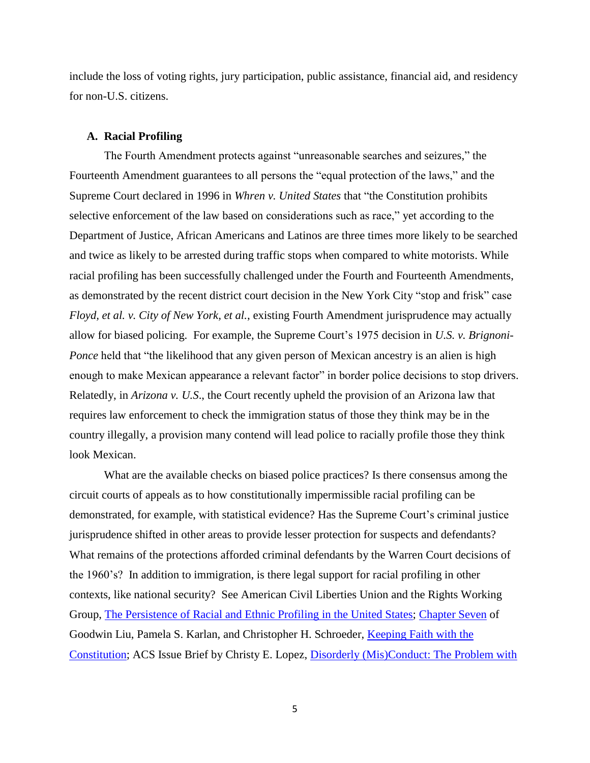include the loss of voting rights, jury participation, public assistance, financial aid, and residency for non-U.S. citizens.

#### **A. Racial Profiling**

The Fourth Amendment protects against "unreasonable searches and seizures," the Fourteenth Amendment guarantees to all persons the "equal protection of the laws," and the Supreme Court declared in 1996 in *Whren v. United States* that "the Constitution prohibits selective enforcement of the law based on considerations such as race," yet according to the Department of Justice, African Americans and Latinos are three times more likely to be searched and twice as likely to be arrested during traffic stops when compared to white motorists. While racial profiling has been successfully challenged under the Fourth and Fourteenth Amendments, as demonstrated by the recent district court decision in the New York City "stop and frisk" case *Floyd, et al. v. City of New York, et al.*, existing Fourth Amendment jurisprudence may actually allow for biased policing. For example, the Supreme Court's 1975 decision in *U.S. v. Brignoni-Ponce* held that "the likelihood that any given person of Mexican ancestry is an alien is high enough to make Mexican appearance a relevant factor" in border police decisions to stop drivers. Relatedly, in *Arizona v. U.S*., the Court recently upheld the provision of an Arizona law that requires law enforcement to check the immigration status of those they think may be in the country illegally, a provision many contend will lead police to racially profile those they think look Mexican.

What are the available checks on biased police practices? Is there consensus among the circuit courts of appeals as to how constitutionally impermissible racial profiling can be demonstrated, for example, with statistical evidence? Has the Supreme Court's criminal justice jurisprudence shifted in other areas to provide lesser protection for suspects and defendants? What remains of the protections afforded criminal defendants by the Warren Court decisions of the 1960's? In addition to immigration, is there legal support for racial profiling in other contexts, like national security? See American Civil Liberties Union and the Rights Working Group, [The Persistence of Racial and Ethnic Profiling in the United States;](https://www.aclu.org/files/pdfs/humanrights/cerd_finalreport.pdf) [Chapter Seven](http://www.acslaw.org/files/KF%20Chapters/ACS_KeepFaith_Chap%207.pdf) of Goodwin Liu, Pamela S. Karlan, and Christopher H. Schroeder, [Keeping Faith with the](http://www.acslaw.org/publications/books/keeping-faith-with-the-constitution)  [Constitution;](http://www.acslaw.org/publications/books/keeping-faith-with-the-constitution) ACS Issue Brief by Christy E. Lopez, [Disorderly \(Mis\)Conduct: The Problem with](http://www.acslaw.org/publications/issue-briefs/disorderly-misconduct-the-problem-with-%E2%80%9Ccontempt-of-cop%E2%80%9D-arrests)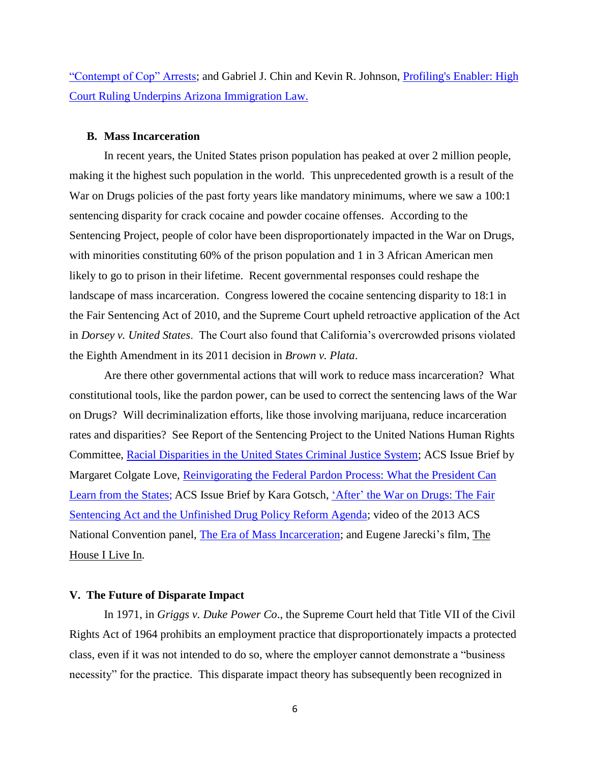["Contempt of Cop" Arrests;](http://www.acslaw.org/publications/issue-briefs/disorderly-misconduct-the-problem-with-%E2%80%9Ccontempt-of-cop%E2%80%9D-arrests) and Gabriel J. Chin and Kevin R. Johnson, [Profiling's Enabler: High](http://www.washingtonpost.com/wp-dyn/content/article/2010/07/12/AR2010071204049.html)  [Court Ruling Underpins Arizona Immigration Law.](http://www.washingtonpost.com/wp-dyn/content/article/2010/07/12/AR2010071204049.html) 

### **B. Mass Incarceration**

In recent years, the United States prison population has peaked at over 2 million people, making it the highest such population in the world. This unprecedented growth is a result of the War on Drugs policies of the past forty years like mandatory minimums, where we saw a 100:1 sentencing disparity for crack cocaine and powder cocaine offenses. According to the Sentencing Project, people of color have been disproportionately impacted in the War on Drugs, with minorities constituting 60% of the prison population and 1 in 3 African American men likely to go to prison in their lifetime. Recent governmental responses could reshape the landscape of mass incarceration. Congress lowered the cocaine sentencing disparity to 18:1 in the Fair Sentencing Act of 2010, and the Supreme Court upheld retroactive application of the Act in *Dorsey v. United States*. The Court also found that California's overcrowded prisons violated the Eighth Amendment in its 2011 decision in *Brown v. Plata*.

Are there other governmental actions that will work to reduce mass incarceration? What constitutional tools, like the pardon power, can be used to correct the sentencing laws of the War on Drugs? Will decriminalization efforts, like those involving marijuana, reduce incarceration rates and disparities? See Report of the Sentencing Project to the United Nations Human Rights Committee, [Racial Disparities in the United States Criminal Justice System;](http://sentencingproject.org/doc/publications/rd_ICCPR%20Race%20and%20Justice%20Shadow%20Report.pdf) ACS Issue Brief by Margaret Colgate Love, [Reinvigorating the Federal Pardon Process: What the President Can](http://www.acslaw.org/publications/issue-briefs/reinvigorating-the-federal-pardon-process-what-the-president-can-learn-fro)  [Learn from the States;](http://www.acslaw.org/publications/issue-briefs/reinvigorating-the-federal-pardon-process-what-the-president-can-learn-fro) ACS Issue Brief by Kara Gotsch, 'After' [the War on Drugs: The Fair](http://www.acslaw.org/publications/issue-briefs/after-the-war-on-drugs-the-fair-sentencing-act-and-the-unfinished-drug-pol)  [Sentencing Act and the Unfinished Drug Policy Reform Agenda;](http://www.acslaw.org/publications/issue-briefs/after-the-war-on-drugs-the-fair-sentencing-act-and-the-unfinished-drug-pol) video of the 2013 ACS National Convention panel, [The Era of Mass Incarceration;](http://www.acslaw.org/news/video/the-era-of-mass-incarceration) and Eugene Jarecki's film, The [House I Live In](http://www.thehouseilivein.org/)*.*

# **V. The Future of Disparate Impact**

In 1971, in *Griggs v. Duke Power Co*., the Supreme Court held that Title VII of the Civil Rights Act of 1964 prohibits an employment practice that disproportionately impacts a protected class, even if it was not intended to do so, where the employer cannot demonstrate a "business necessity" for the practice. This disparate impact theory has subsequently been recognized in